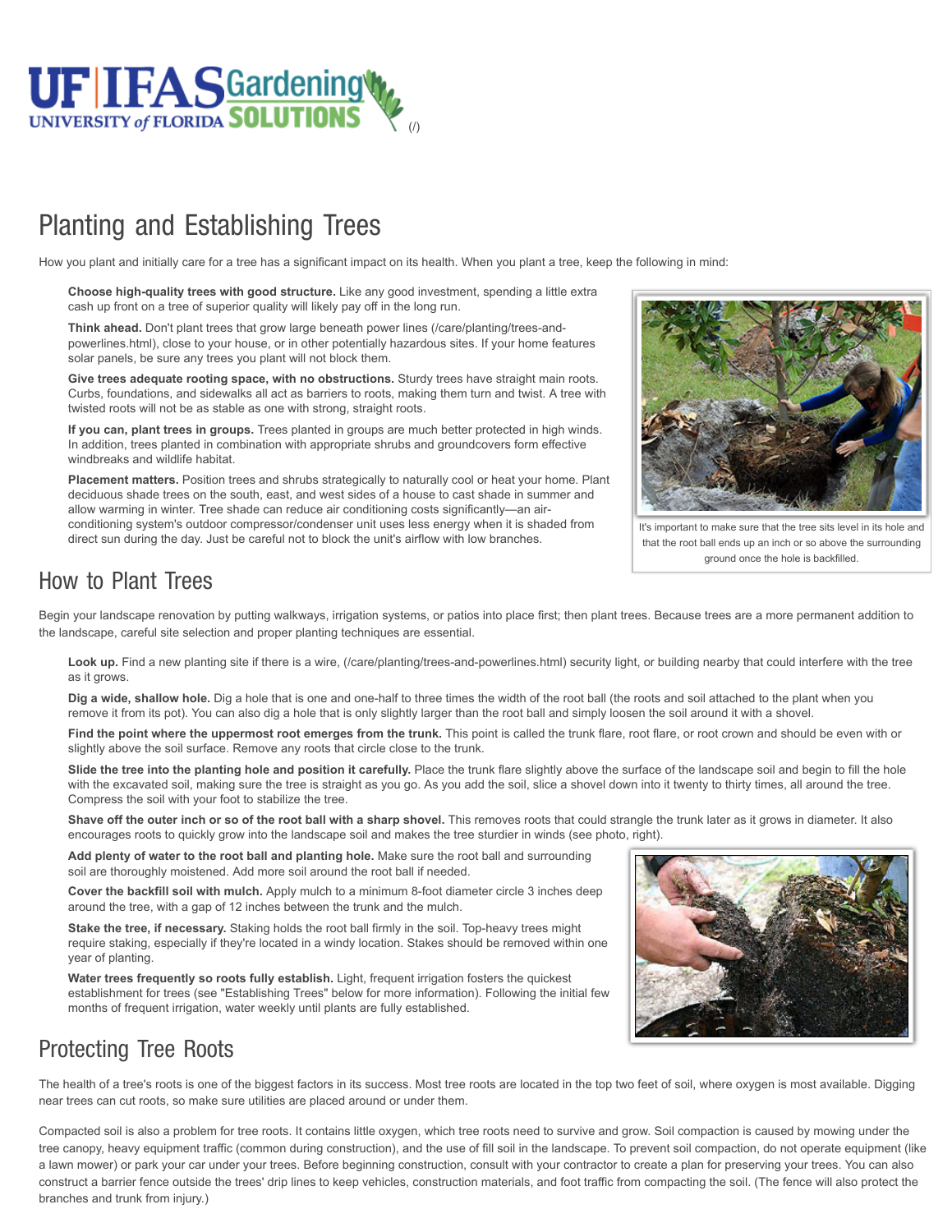

## Planting and Establishing Trees

How you plant and initially care for a tree has a significant impact on its health. When you plant a tree, keep the following in mind:

**Choose high-quality trees with good structure.** Like any good investment, spending a little extra cash up front on a tree of superior quality will likely pay off in the long run.

**Think ahead.** Don't plant trees that grow large beneath power lines (/care/planting/trees-and[powerlines.html\), close to your house, or in other potentially hazardous sites. If your home fea](http://gardeningsolutions.ifas.ufl.edu/care/planting/trees-and-powerlines.html)tures solar panels, be sure any trees you plant will not block them.

**Give trees adequate rooting space, with no obstructions.** Sturdy trees have straight main roots. Curbs, foundations, and sidewalks all act as barriers to roots, making them turn and twist. A tree with twisted roots will not be as stable as one with strong, straight roots.

**If you can, plant trees in groups.** Trees planted in groups are much better protected in high winds. In addition, trees planted in combination with appropriate shrubs and groundcovers form effective windbreaks and wildlife habitat.

**Placement matters.** Position trees and shrubs strategically to naturally cool or heat your home. Plant deciduous shade trees on the south, east, and west sides of a house to cast shade in summer and allow warming in winter. Tree shade can reduce air conditioning costs significantly—an airconditioning system's outdoor compressor/condenser unit uses less energy when it is shaded from direct sun during the day. Just be careful not to block the unit's airflow with low branches.



It's important to make sure that the tree sits level in its hole and that the root ball ends up an inch or so above the surrounding ground once the hole is backfilled.

## How to Plant Trees

Begin your landscape renovation by putting walkways, irrigation systems, or patios into place first; then plant trees. Because trees are a more permanent addition to the landscape, careful site selection and proper planting techniques are essential.

**Look up.** Find a new planting site if [there is a wire, \(/care/planting/trees-and-powerlines.html\)](http://gardeningsolutions.ifas.ufl.edu/care/planting/trees-and-powerlines.html) security light, or building nearby that could interfere with the tree as it grows.

**Dig a wide, shallow hole.** Dig a hole that is one and one-half to three times the width of the root ball (the roots and soil attached to the plant when you remove it from its pot). You can also dig a hole that is only slightly larger than the root ball and simply loosen the soil around it with a shovel.

Find the point where the uppermost root emerges from the trunk. This point is called the trunk flare, root flare, or root crown and should be even with or slightly above the soil surface. Remove any roots that circle close to the trunk.

Slide the tree into the planting hole and position it carefully. Place the trunk flare slightly above the surface of the landscape soil and begin to fill the hole with the excavated soil, making sure the tree is straight as you go. As you add the soil, slice a shovel down into it twenty to thirty times, all around the tree. Compress the soil with your foot to stabilize the tree.

**Shave off the outer inch or so of the root ball with a sharp shovel.** This removes roots that could strangle the trunk later as it grows in diameter. It also encourages roots to quickly grow into the landscape soil and makes the tree sturdier in winds (see photo, right).

**Add plenty of water to the root ball and planting hole.** Make sure the root ball and surrounding soil are thoroughly moistened. Add more soil around the root ball if needed.

**Cover the backfill soil with mulch.** Apply mulch to a minimum 8-foot diameter circle 3 inches deep around the tree, with a gap of 12 inches between the trunk and the mulch.

**Stake the tree, if necessary.** Staking holds the root ball firmly in the soil. Top-heavy trees might require staking, especially if they're located in a windy location. Stakes should be removed within one year of planting.

**Water trees frequently so roots fully establish.** Light, frequent irrigation fosters the quickest establishment for trees (see "Establishing Trees" below for more information). Following the initial few months of frequent irrigation, water weekly until plants are fully established.



## Protecting Tree Roots

The health of a tree's roots is one of the biggest factors in its success. Most tree roots are located in the top two feet of soil, where oxygen is most available. Digging near trees can cut roots, so make sure utilities are placed around or under them.

Compacted soil is also a problem for tree roots. It contains little oxygen, which tree roots need to survive and grow. Soil compaction is caused by mowing under the tree canopy, heavy equipment traffic (common during construction), and the use of fill soil in the landscape. To prevent soil compaction, do not operate equipment (like a lawn mower) or park your car under your trees. Before beginning construction, consult with your contractor to create a plan for preserving your trees. You can also construct a barrier fence outside the trees' drip lines to keep vehicles, construction materials, and foot traffic from compacting the soil. (The fence will also protect the branches and trunk from injury.)